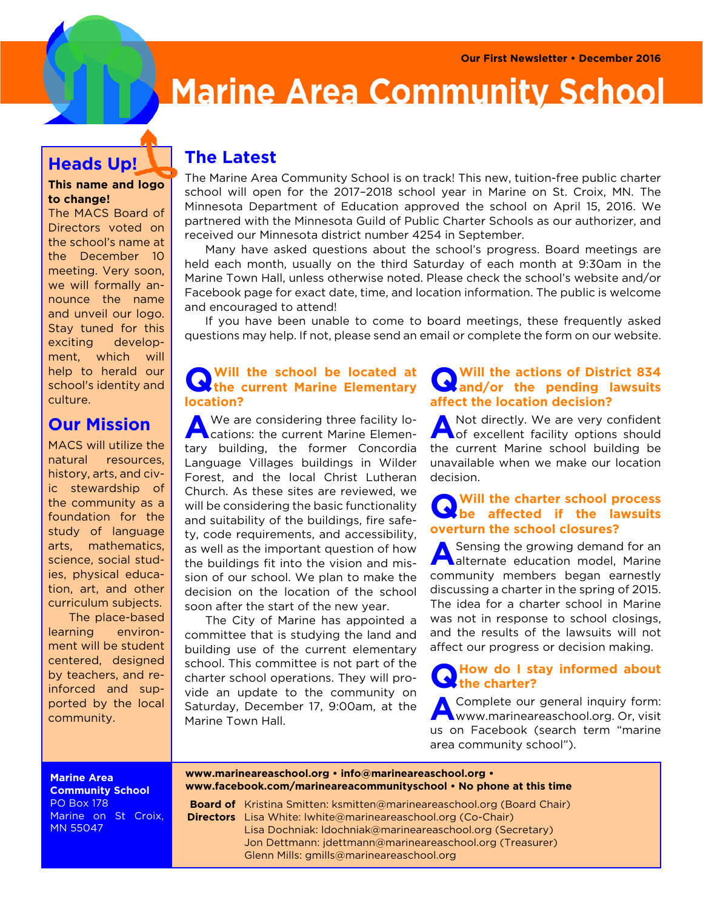

# **Marine Area Community School**

## **Heads Up!**

### **This name and logo to change!**

The MACS Board of Directors voted on the school's name at the December 10 meeting. Very soon, we will formally announce the name and unveil our logo. Stay tuned for this exciting development, which will help to herald our school's identity and culture.

# **Our Mission**

MACS will utilize the natural resources, history, arts, and civic stewardship of the community as a foundation for the study of language arts, mathematics, science, social studies, physical education, art, and other curriculum subjects.

 The place-based learning environment will be student centered, designed by teachers, and reinforced and supported by the local community.

# **The Latest**

The Marine Area Community School is on track! This new, tuition-free public charter school will open for the 2017–2018 school year in Marine on St. Croix, MN. The Minnesota Department of Education approved the school on April 15, 2016. We partnered with the Minnesota Guild of Public Charter Schools as our authorizer, and received our Minnesota district number 4254 in September.

 Many have asked questions about the school's progress. Board meetings are held each month, usually on the third Saturday of each month at 9:30am in the Marine Town Hall, unless otherwise noted. Please check the school's website and/or Facebook page for exact date, time, and location information. The public is welcome and encouraged to attend!

 If you have been unable to come to board meetings, these frequently asked questions may help. If not, please send an email or complete the form on our website.

#### **Q Will the school be located at the current Marine Elementary location?**

We are considering three facility lo-<br> **A** Cations: the current Marine Elemencations: the current Marine Elementary building, the former Concordia Language Villages buildings in Wilder Forest, and the local Christ Lutheran Church. As these sites are reviewed, we will be considering the basic functionality and suitability of the buildings, fire safety, code requirements, and accessibility, as well as the important question of how the buildings fit into the vision and mission of our school. We plan to make the decision on the location of the school soon after the start of the new year.

 The City of Marine has appointed a committee that is studying the land and building use of the current elementary school. This committee is not part of the charter school operations. They will provide an update to the community on Saturday, December 17, 9:00am, at the Marine Town Hall.

## **Q** Will the actions of District 834<br>and/or the pending lawsuits **and/or the pending lawsuits affect the location decision?**

A Not directly. We are very confident<br>A of excellent facility options should of excellent facility options should the current Marine school building be unavailable when we make our location decision.

## **Q** Will the charter school process<br>be affected if the lawsuits **be affected if the lawsuits overturn the school closures?**

**A** Sensing the growing demand for an alternate education model, Marine **A** alternate education model, Marine community members began earnestly discussing a charter in the spring of 2015. The idea for a charter school in Marine was not in response to school closings, and the results of the lawsuits will not affect our progress or decision making.

#### **Q How do I stay informed about the charter?**

**A** Complete our general inquiry form: www.marineareaschool.org. Or, visit us on Facebook (search term "marine area community school").

**Marine Area Community School** PO Box 178 Marine on St Croix, MN 55047

**www.marineareaschool.org • info@marineareaschool.org • www.facebook.com/marineareacommunityschool • No phone at this time**

Board of Kristina Smitten: ksmitten@marineareaschool.org (Board Chair) **Directors** Lisa White: lwhite@marineareaschool.org (Co-Chair) Lisa Dochniak: ldochniak@marineareaschool.org (Secretary) Jon Dettmann: jdettmann@marineareaschool.org (Treasurer) Glenn Mills: gmills@marineareaschool.org